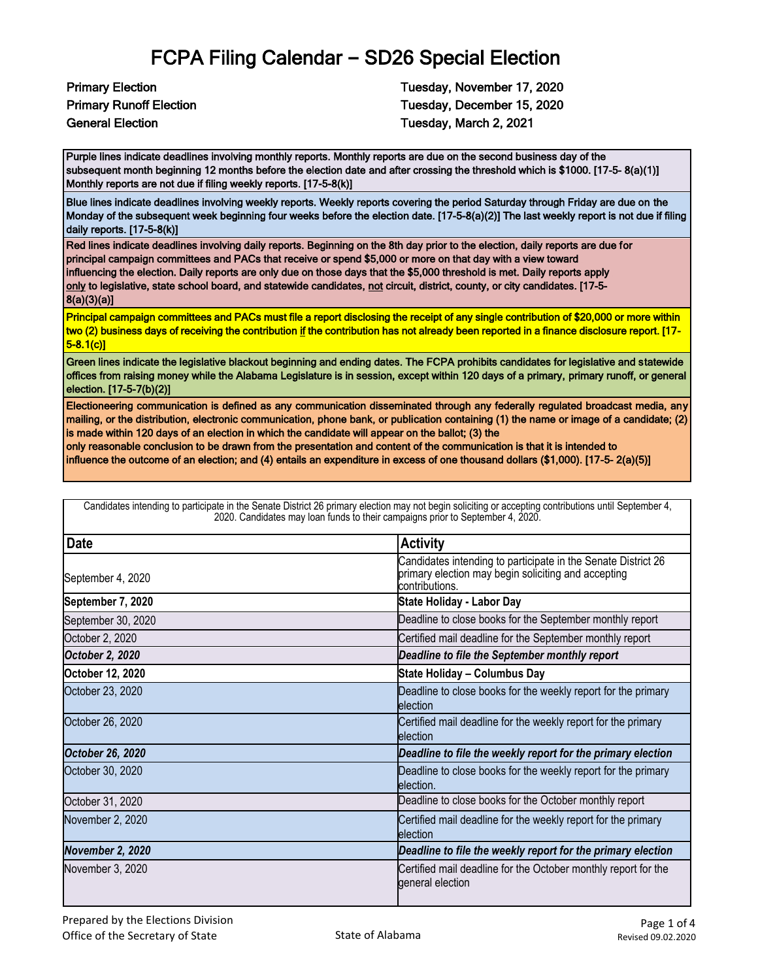## FCPA Filing Calendar **–** SD26 Special Election

Primary Election Tuesday, November 17, 2020 Primary Runoff Election Tuesday, December 15, 2020 General Election Tuesday, March 2, 2021

Purple lines indicate deadlines involving monthly reports. Monthly reports are due on the second business day of the subsequent month beginning 12 months before the election date and after crossing the threshold which is \$1000. [17-5- 8(a)(1)] Monthly reports are not due if filing weekly reports. [17-5-8(k)]

Blue lines indicate deadlines involving weekly reports. Weekly reports covering the period Saturday through Friday are due on the Monday of the subsequent week beginning four weeks before the election date. [17-5-8(a)(2)] The last weekly report is not due if filing daily reports. [17-5-8(k)]

Red lines indicate deadlines involving daily reports. Beginning on the 8th day prior to the election, daily reports are due for principal campaign committees and PACs that receive or spend \$5,000 or more on that day with a view toward influencing the election. Daily reports are only due on those days that the \$5,000 threshold is met. Daily reports apply only to legislative, state school board, and statewide candidates, not circuit, district, county, or city candidates. [17-5-8(a)(3)(a)]

Principal campaign committees and PACs must file a report disclosing the receipt of any single contribution of \$20,000 or more within two (2) business days of receiving the contribution if the contribution has not already been reported in a finance disclosure report. [17- 5-8.1(c)]

Green lines indicate the legislative blackout beginning and ending dates. The FCPA prohibits candidates for legislative and statewide offices from raising money while the Alabama Legislature is in session, except within 120 days of a primary, primary runoff, or general election. [17-5-7(b)(2)]

Electioneering communication is defined as any communication disseminated through any federally regulated broadcast media, any mailing, or the distribution, electronic communication, phone bank, or publication containing (1) the name or image of a candidate; (2) is made within 120 days of an election in which the candidate will appear on the ballot; (3) the

only reasonable conclusion to be drawn from the presentation and content of the communication is that it is intended to

influence the outcome of an election; and (4) entails an expenditure in excess of one thousand dollars (\$1,000). [17-5- 2(a)(5)]

| <b>Date</b>        | <b>Activity</b>                                                                                                                        |
|--------------------|----------------------------------------------------------------------------------------------------------------------------------------|
| September 4, 2020  | Candidates intending to participate in the Senate District 26<br>primary election may begin soliciting and accepting<br>contributions. |
| September 7, 2020  | State Holiday - Labor Day                                                                                                              |
| September 30, 2020 | Deadline to close books for the September monthly report                                                                               |
| October 2, 2020    | Certified mail deadline for the September monthly report                                                                               |
| October 2, 2020    | Deadline to file the September monthly report                                                                                          |
| October 12, 2020   | State Holiday - Columbus Day                                                                                                           |
| October 23, 2020   | Deadline to close books for the weekly report for the primary<br>election                                                              |
| October 26, 2020   | Certified mail deadline for the weekly report for the primary<br>election                                                              |
| October 26, 2020   | Deadline to file the weekly report for the primary election                                                                            |
| October 30, 2020   | Deadline to close books for the weekly report for the primary<br>election.                                                             |
| October 31, 2020   | Deadline to close books for the October monthly report                                                                                 |
| November 2, 2020   | Certified mail deadline for the weekly report for the primary<br>election                                                              |
| November 2, 2020   | Deadline to file the weekly report for the primary election                                                                            |
| November 3, 2020   | Certified mail deadline for the October monthly report for the<br>general election                                                     |

Candidates intending to participate in the Senate District 26 primary election may not begin soliciting or accepting contributions until September 4, 2020. Candidates may loan funds to their campaigns prior to September 4, 2020.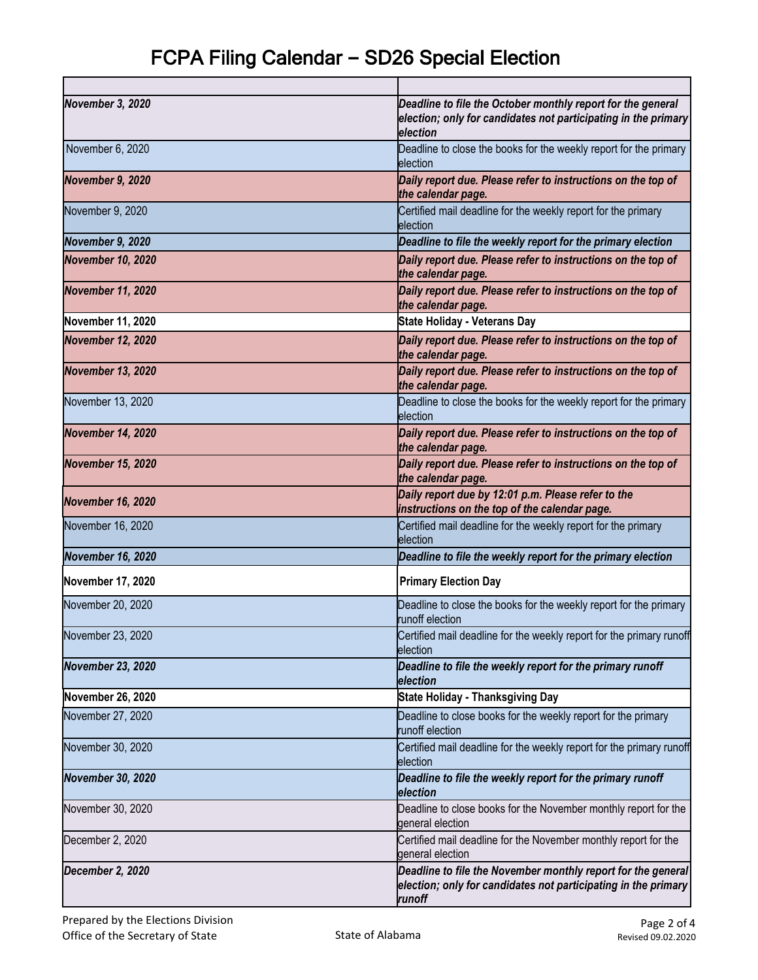| November 3, 2020         | Deadline to file the October monthly report for the general<br>election; only for candidates not participating in the primary<br>election |
|--------------------------|-------------------------------------------------------------------------------------------------------------------------------------------|
| November 6, 2020         | Deadline to close the books for the weekly report for the primary<br>election                                                             |
| November 9, 2020         | Daily report due. Please refer to instructions on the top of<br>the calendar page.                                                        |
| November 9, 2020         | Certified mail deadline for the weekly report for the primary<br>election                                                                 |
| November 9, 2020         | Deadline to file the weekly report for the primary election                                                                               |
| <b>November 10, 2020</b> | Daily report due. Please refer to instructions on the top of<br>the calendar page.                                                        |
| <b>November 11, 2020</b> | Daily report due. Please refer to instructions on the top of<br>the calendar page.                                                        |
| November 11, 2020        | <b>State Holiday - Veterans Day</b>                                                                                                       |
| <b>November 12, 2020</b> | Daily report due. Please refer to instructions on the top of<br>the calendar page.                                                        |
| <b>November 13, 2020</b> | Daily report due. Please refer to instructions on the top of<br>the calendar page.                                                        |
| November 13, 2020        | Deadline to close the books for the weekly report for the primary<br>election                                                             |
| <b>November 14, 2020</b> | Daily report due. Please refer to instructions on the top of<br>the calendar page.                                                        |
| <b>November 15, 2020</b> | Daily report due. Please refer to instructions on the top of<br>the calendar page.                                                        |
| <b>November 16, 2020</b> | Daily report due by 12:01 p.m. Please refer to the<br>instructions on the top of the calendar page.                                       |
| November 16, 2020        | Certified mail deadline for the weekly report for the primary<br>election                                                                 |
| <b>November 16, 2020</b> | Deadline to file the weekly report for the primary election                                                                               |
| <b>November 17, 2020</b> | <b>Primary Election Day</b>                                                                                                               |
| November 20, 2020        | Deadline to close the books for the weekly report for the primary<br>runoff election                                                      |
| November 23, 2020        | Certified mail deadline for the weekly report for the primary runoff<br>election                                                          |
| <b>November 23, 2020</b> | Deadline to file the weekly report for the primary runoff<br>election                                                                     |
| November 26, 2020        | <b>State Holiday - Thanksgiving Day</b>                                                                                                   |
| November 27, 2020        | Deadline to close books for the weekly report for the primary<br>runoff election                                                          |
| November 30, 2020        | Certified mail deadline for the weekly report for the primary runoff<br>election                                                          |
| <b>November 30, 2020</b> | Deadline to file the weekly report for the primary runoff<br>election                                                                     |
| November 30, 2020        | Deadline to close books for the November monthly report for the<br>general election                                                       |
| December 2, 2020         | Certified mail deadline for the November monthly report for the<br>general election                                                       |
| December 2, 2020         | Deadline to file the November monthly report for the general<br>election; only for candidates not participating in the primary<br>runoff  |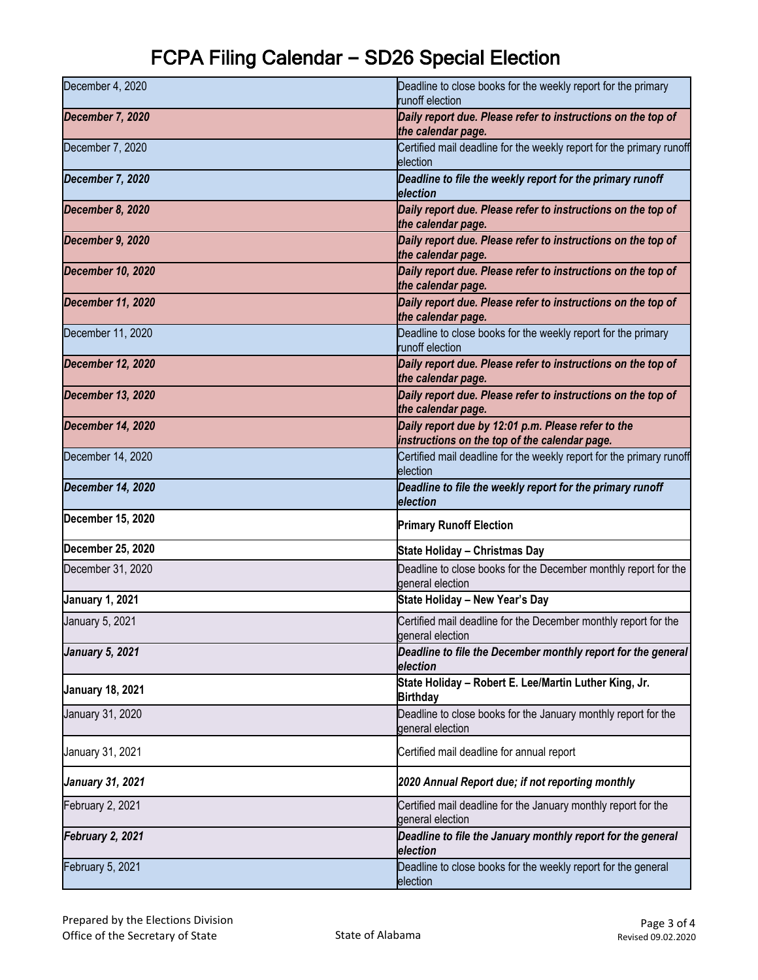## FCPA Filing Calendar **–** SD26 Special Election

| December 4, 2020         | Deadline to close books for the weekly report for the primary<br>runoff election                    |
|--------------------------|-----------------------------------------------------------------------------------------------------|
| December 7, 2020         | Daily report due. Please refer to instructions on the top of<br>the calendar page.                  |
| December 7, 2020         | Certified mail deadline for the weekly report for the primary runoff<br>election                    |
| December 7, 2020         | Deadline to file the weekly report for the primary runoff<br>election                               |
| December 8, 2020         | Daily report due. Please refer to instructions on the top of<br>the calendar page.                  |
| December 9, 2020         | Daily report due. Please refer to instructions on the top of<br>the calendar page.                  |
| <b>December 10, 2020</b> | Daily report due. Please refer to instructions on the top of<br>the calendar page.                  |
| <b>December 11, 2020</b> | Daily report due. Please refer to instructions on the top of<br>the calendar page.                  |
| December 11, 2020        | Deadline to close books for the weekly report for the primary<br>runoff election                    |
| <b>December 12, 2020</b> | Daily report due. Please refer to instructions on the top of<br>the calendar page.                  |
| <b>December 13, 2020</b> | Daily report due. Please refer to instructions on the top of<br>the calendar page.                  |
| <b>December 14, 2020</b> | Daily report due by 12:01 p.m. Please refer to the<br>instructions on the top of the calendar page. |
| December 14, 2020        | Certified mail deadline for the weekly report for the primary runoff<br>election                    |
| December 14, 2020        | Deadline to file the weekly report for the primary runoff<br>election                               |
| December 15, 2020        |                                                                                                     |
|                          | <b>Primary Runoff Election</b>                                                                      |
| December 25, 2020        | State Holiday - Christmas Day                                                                       |
| December 31, 2020        | Deadline to close books for the December monthly report for the<br>general election                 |
| <b>January 1, 2021</b>   | State Holiday - New Year's Day                                                                      |
| January 5, 2021          | Certified mail deadline for the December monthly report for the<br>general election                 |
| <b>January 5, 2021</b>   | Deadline to file the December monthly report for the general<br>election                            |
| <b>January 18, 2021</b>  | State Holiday - Robert E. Lee/Martin Luther King, Jr.<br><b>Birthday</b>                            |
| January 31, 2020         | Deadline to close books for the January monthly report for the<br>general election                  |
| January 31, 2021         | Certified mail deadline for annual report                                                           |
| <b>January 31, 2021</b>  | 2020 Annual Report due; if not reporting monthly                                                    |
| February 2, 2021         | Certified mail deadline for the January monthly report for the<br>general election                  |
| February 2, 2021         | Deadline to file the January monthly report for the general<br>election                             |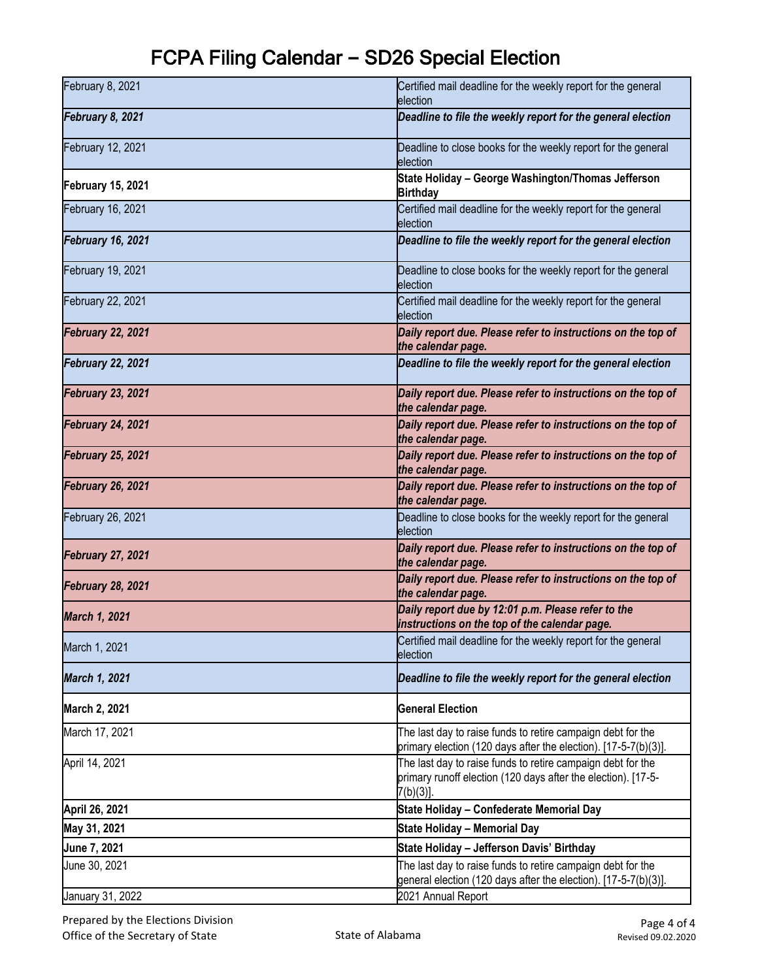## FCPA Filing Calendar **–** SD26 Special Election

| February 8, 2021         | Certified mail deadline for the weekly report for the general<br>election                                                                   |
|--------------------------|---------------------------------------------------------------------------------------------------------------------------------------------|
| February 8, 2021         | Deadline to file the weekly report for the general election                                                                                 |
| February 12, 2021        | Deadline to close books for the weekly report for the general<br>election                                                                   |
| <b>February 15, 2021</b> | State Holiday - George Washington/Thomas Jefferson<br><b>Birthday</b>                                                                       |
| February 16, 2021        | Certified mail deadline for the weekly report for the general<br>election                                                                   |
| February 16, 2021        | Deadline to file the weekly report for the general election                                                                                 |
| February 19, 2021        | Deadline to close books for the weekly report for the general<br>election                                                                   |
| February 22, 2021        | Certified mail deadline for the weekly report for the general<br>election                                                                   |
| <b>February 22, 2021</b> | Daily report due. Please refer to instructions on the top of<br>the calendar page.                                                          |
| <b>February 22, 2021</b> | Deadline to file the weekly report for the general election                                                                                 |
| <b>February 23, 2021</b> | Daily report due. Please refer to instructions on the top of<br>the calendar page.                                                          |
| February 24, 2021        | Daily report due. Please refer to instructions on the top of<br>the calendar page.                                                          |
| <b>February 25, 2021</b> | Daily report due. Please refer to instructions on the top of<br>the calendar page.                                                          |
| <b>February 26, 2021</b> | Daily report due. Please refer to instructions on the top of<br>the calendar page.                                                          |
| February 26, 2021        | Deadline to close books for the weekly report for the general<br>election                                                                   |
| <b>February 27, 2021</b> | Daily report due. Please refer to instructions on the top of<br>the calendar page.                                                          |
| February 28, 2021        | Daily report due. Please refer to instructions on the top of<br>the calendar page.                                                          |
| <b>March 1, 2021</b>     | Daily report due by 12:01 p.m. Please refer to the<br>instructions on the top of the calendar page.                                         |
| March 1, 2021            | Certified mail deadline for the weekly report for the general<br>election                                                                   |
| March 1, 2021            | Deadline to file the weekly report for the general election                                                                                 |
| March 2, 2021            | <b>General Election</b>                                                                                                                     |
| March 17, 2021           | The last day to raise funds to retire campaign debt for the<br>primary election (120 days after the election). [17-5-7(b)(3)].              |
| April 14, 2021           | The last day to raise funds to retire campaign debt for the<br>primary runoff election (120 days after the election). [17-5-<br>$7(b)(3)$ . |
| April 26, 2021           | State Holiday - Confederate Memorial Day                                                                                                    |
| May 31, 2021             | <b>State Holiday - Memorial Day</b>                                                                                                         |
| June 7, 2021             | State Holiday - Jefferson Davis' Birthday                                                                                                   |
| June 30, 2021            | The last day to raise funds to retire campaign debt for the<br>general election (120 days after the election). [17-5-7(b)(3)].              |
| January 31, 2022         | 2021 Annual Report                                                                                                                          |